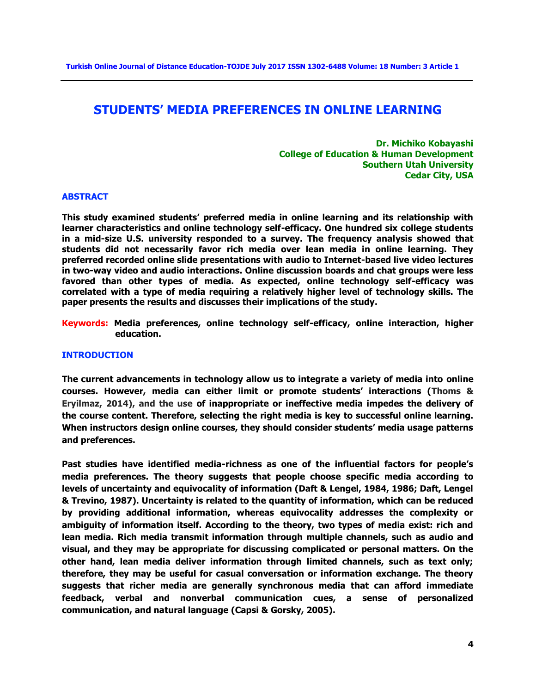# **STUDENTS' MEDIA PREFERENCES IN ONLINE LEARNING**

**Dr. Michiko Kobayashi College of Education & Human Development Southern Utah University Cedar City, USA**

## **ABSTRACT**

**This study examined students' preferred media in online learning and its relationship with learner characteristics and online technology self-efficacy. One hundred six college students in a mid-size U.S. university responded to a survey. The frequency analysis showed that students did not necessarily favor rich media over lean media in online learning. They preferred recorded online slide presentations with audio to Internet-based live video lectures in two-way video and audio interactions. Online discussion boards and chat groups were less favored than other types of media. As expected, online technology self-efficacy was correlated with a type of media requiring a relatively higher level of technology skills. The paper presents the results and discusses their implications of the study.**

**Keywords: Media preferences, online technology self-efficacy, online interaction, higher education.**

#### **INTRODUCTION**

**The current advancements in technology allow us to integrate a variety of media into online courses. However, media can either limit or promote students' interactions (Thoms & Eryilmaz, 2014), and the use of inappropriate or ineffective media impedes the delivery of the course content. Therefore, selecting the right media is key to successful online learning. When instructors design online courses, they should consider students' media usage patterns and preferences.** 

**Past studies have identified media-richness as one of the influential factors for people's media preferences. The theory suggests that people choose specific media according to levels of uncertainty and equivocality of information (Daft & Lengel, 1984, 1986; Daft, Lengel & Trevino, 1987). Uncertainty is related to the quantity of information, which can be reduced by providing additional information, whereas equivocality addresses the complexity or ambiguity of information itself. According to the theory, two types of media exist: rich and lean media. Rich media transmit information through multiple channels, such as audio and visual, and they may be appropriate for discussing complicated or personal matters. On the other hand, lean media deliver information through limited channels, such as text only; therefore, they may be useful for casual conversation or information exchange. The theory suggests that richer media are generally synchronous media that can afford immediate feedback, verbal and nonverbal communication cues, a sense of personalized communication, and natural language (Capsi & Gorsky, 2005).**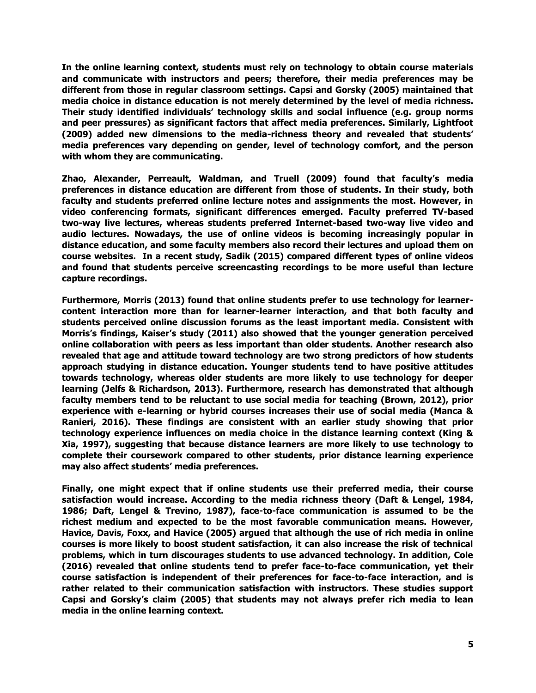**In the online learning context, students must rely on technology to obtain course materials and communicate with instructors and peers; therefore, their media preferences may be different from those in regular classroom settings. Capsi and Gorsky (2005) maintained that media choice in distance education is not merely determined by the level of media richness. Their study identified individuals' technology skills and social influence (e.g. group norms and peer pressures) as significant factors that affect media preferences. Similarly, Lightfoot (2009) added new dimensions to the media-richness theory and revealed that students' media preferences vary depending on gender, level of technology comfort, and the person with whom they are communicating.** 

**Zhao, Alexander, Perreault, Waldman, and Truell (2009) found that faculty's media preferences in distance education are different from those of students. In their study, both faculty and students preferred online lecture notes and assignments the most. However, in video conferencing formats, significant differences emerged. Faculty preferred TV-based two-way live lectures, whereas students preferred Internet-based two-way live video and audio lectures. Nowadays, the use of online videos is becoming increasingly popular in distance education, and some faculty members also record their lectures and upload them on course websites. In a recent study, Sadik (2015) compared different types of online videos and found that students perceive screencasting recordings to be more useful than lecture capture recordings.** 

**Furthermore, Morris (2013) found that online students prefer to use technology for learnercontent interaction more than for learner-learner interaction, and that both faculty and students perceived online discussion forums as the least important media. Consistent with Morris's findings, Kaiser's study (2011) also showed that the younger generation perceived online collaboration with peers as less important than older students. Another research also revealed that age and attitude toward technology are two strong predictors of how students approach studying in distance education. Younger students tend to have positive attitudes towards technology, whereas older students are more likely to use technology for deeper learning (Jelfs & Richardson, 2013). Furthermore, research has demonstrated that although faculty members tend to be reluctant to use social media for teaching (Brown, 2012), prior experience with e-learning or hybrid courses increases their use of social media (Manca & Ranieri, 2016). These findings are consistent with an earlier study showing that prior technology experience influences on media choice in the distance learning context (King & Xia, 1997), suggesting that because distance learners are more likely to use technology to complete their coursework compared to other students, prior distance learning experience may also affect students' media preferences.**

**Finally, one might expect that if online students use their preferred media, their course satisfaction would increase. According to the media richness theory (Daft & Lengel, 1984, 1986; Daft, Lengel & Trevino, 1987), face-to-face communication is assumed to be the richest medium and expected to be the most favorable communication means. However, Havice, Davis, Foxx, and Havice (2005) argued that although the use of rich media in online courses is more likely to boost student satisfaction, it can also increase the risk of technical problems, which in turn discourages students to use advanced technology. In addition, Cole (2016) revealed that online students tend to prefer face-to-face communication, yet their course satisfaction is independent of their preferences for face-to-face interaction, and is rather related to their communication satisfaction with instructors. These studies support Capsi and Gorsky's claim (2005) that students may not always prefer rich media to lean media in the online learning context.**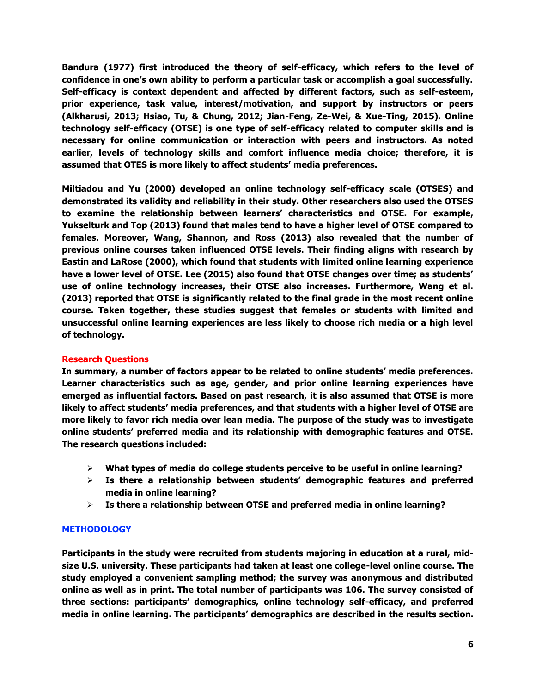**Bandura (1977) first introduced the theory of self-efficacy, which refers to the level of confidence in one's own ability to perform a particular task or accomplish a goal successfully. Self-efficacy is context dependent and affected by different factors, such as self-esteem, prior experience, task value, interest/motivation, and support by instructors or peers (Alkharusi, 2013; Hsiao, Tu, & Chung, 2012; Jian-Feng, Ze-Wei, & Xue-Ting, 2015). Online technology self-efficacy (OTSE) is one type of self-efficacy related to computer skills and is necessary for online communication or interaction with peers and instructors. As noted earlier, levels of technology skills and comfort influence media choice; therefore, it is assumed that OTES is more likely to affect students' media preferences.** 

**Miltiadou and Yu (2000) developed an online technology self-efficacy scale (OTSES) and demonstrated its validity and reliability in their study. Other researchers also used the OTSES to examine the relationship between learners' characteristics and OTSE. For example, Yukselturk and Top (2013) found that males tend to have a higher level of OTSE compared to females. Moreover, Wang, Shannon, and Ross (2013) also revealed that the number of previous online courses taken influenced OTSE levels. Their finding aligns with research by Eastin and LaRose (2000), which found that students with limited online learning experience have a lower level of OTSE. Lee (2015) also found that OTSE changes over time; as students' use of online technology increases, their OTSE also increases. Furthermore, Wang et al. (2013) reported that OTSE is significantly related to the final grade in the most recent online course. Taken together, these studies suggest that females or students with limited and unsuccessful online learning experiences are less likely to choose rich media or a high level of technology.**

# **Research Questions**

**In summary, a number of factors appear to be related to online students' media preferences. Learner characteristics such as age, gender, and prior online learning experiences have emerged as influential factors. Based on past research, it is also assumed that OTSE is more likely to affect students' media preferences, and that students with a higher level of OTSE are more likely to favor rich media over lean media. The purpose of the study was to investigate online students' preferred media and its relationship with demographic features and OTSE. The research questions included:**

- **What types of media do college students perceive to be useful in online learning?**
- **Is there a relationship between students' demographic features and preferred media in online learning?**
- **Is there a relationship between OTSE and preferred media in online learning?**

# **METHODOLOGY**

**Participants in the study were recruited from students majoring in education at a rural, midsize U.S. university. These participants had taken at least one college-level online course. The study employed a convenient sampling method; the survey was anonymous and distributed online as well as in print. The total number of participants was 106. The survey consisted of three sections: participants' demographics, online technology self-efficacy, and preferred media in online learning. The participants' demographics are described in the results section.**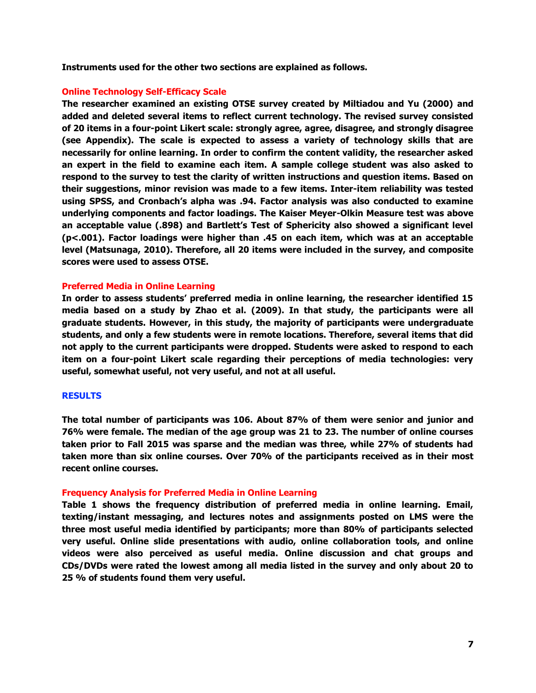**Instruments used for the other two sections are explained as follows.**

# **Online Technology Self-Efficacy Scale**

**The researcher examined an existing OTSE survey created by Miltiadou and Yu (2000) and added and deleted several items to reflect current technology. The revised survey consisted of 20 items in a four-point Likert scale: strongly agree, agree, disagree, and strongly disagree (see Appendix). The scale is expected to assess a variety of technology skills that are necessarily for online learning. In order to confirm the content validity, the researcher asked an expert in the field to examine each item. A sample college student was also asked to respond to the survey to test the clarity of written instructions and question items. Based on their suggestions, minor revision was made to a few items. Inter-item reliability was tested using SPSS, and Cronbach's alpha was .94. Factor analysis was also conducted to examine underlying components and factor loadings. The Kaiser Meyer-Olkin Measure test was above an acceptable value (.898) and Bartlett's Test of Sphericity also showed a significant level (p<.001). Factor loadings were higher than .45 on each item, which was at an acceptable level (Matsunaga, 2010). Therefore, all 20 items were included in the survey, and composite scores were used to assess OTSE.**

# **Preferred Media in Online Learning**

**In order to assess students' preferred media in online learning, the researcher identified 15 media based on a study by Zhao et al. (2009). In that study, the participants were all graduate students. However, in this study, the majority of participants were undergraduate students, and only a few students were in remote locations. Therefore, several items that did not apply to the current participants were dropped. Students were asked to respond to each item on a four-point Likert scale regarding their perceptions of media technologies: very useful, somewhat useful, not very useful, and not at all useful.**

## **RESULTS**

**The total number of participants was 106. About 87% of them were senior and junior and 76% were female. The median of the age group was 21 to 23. The number of online courses taken prior to Fall 2015 was sparse and the median was three, while 27% of students had taken more than six online courses. Over 70% of the participants received as in their most recent online courses.** 

## **Frequency Analysis for Preferred Media in Online Learning**

**Table 1 shows the frequency distribution of preferred media in online learning. Email, texting/instant messaging, and lectures notes and assignments posted on LMS were the three most useful media identified by participants; more than 80% of participants selected very useful. Online slide presentations with audio, online collaboration tools, and online videos were also perceived as useful media. Online discussion and chat groups and CDs/DVDs were rated the lowest among all media listed in the survey and only about 20 to 25 % of students found them very useful.**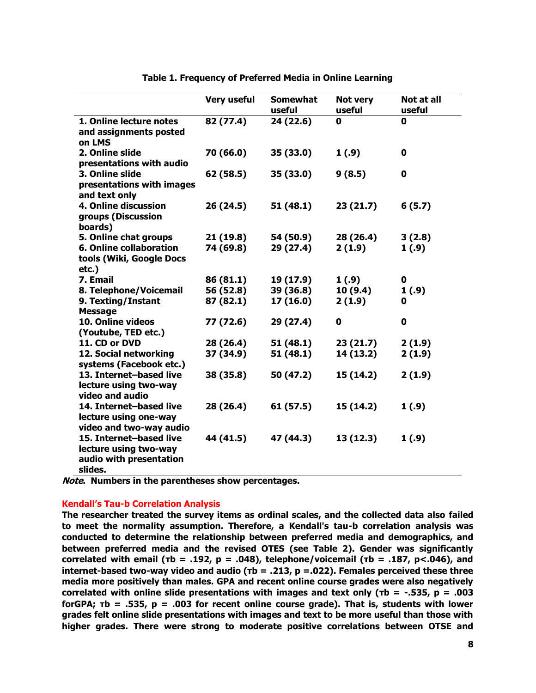|                                | <b>Very useful</b> | <b>Somewhat</b> | Not very  | Not at all |
|--------------------------------|--------------------|-----------------|-----------|------------|
|                                |                    | useful          | useful    | useful     |
| 1. Online lecture notes        | 82 (77.4)          | 24 (22.6)       | 0         | 0          |
| and assignments posted         |                    |                 |           |            |
| on LMS                         |                    |                 |           |            |
| 2. Online slide                | 70 (66.0)          | 35 (33.0)       | 1(.9)     | 0          |
| presentations with audio       |                    |                 |           |            |
| 3. Online slide                | 62 (58.5)          | 35 (33.0)       | 9(8.5)    | 0          |
| presentations with images      |                    |                 |           |            |
| and text only                  |                    |                 |           |            |
| 4. Online discussion           | 26 (24.5)          | 51 (48.1)       | 23(21.7)  | 6(5.7)     |
| groups (Discussion             |                    |                 |           |            |
| boards)                        |                    |                 |           |            |
| 5. Online chat groups          | 21(19.8)           | 54 (50.9)       | 28 (26.4) | 3(2.8)     |
| <b>6. Online collaboration</b> | 74 (69.8)          | 29 (27.4)       | 2(1.9)    | 1(.9)      |
| tools (Wiki, Google Docs       |                    |                 |           |            |
| etc.)                          |                    |                 |           |            |
| 7. Email                       | 86 (81.1)          | 19 (17.9)       | 1(.9)     | 0          |
| 8. Telephone/Voicemail         | 56 (52.8)          | 39 (36.8)       | 10(9.4)   | 1(.9)      |
| 9. Texting/Instant             | 87 (82.1)          | 17(16.0)        | 2(1.9)    | 0          |
| <b>Message</b>                 |                    |                 |           |            |
| 10. Online videos              | 77 (72.6)          | 29 (27.4)       | 0         | 0          |
| (Youtube, TED etc.)            |                    |                 |           |            |
| 11. CD or DVD                  | 28 (26.4)          | 51(48.1)        | 23(21.7)  | 2(1.9)     |
| 12. Social networking          | 37 (34.9)          | 51 (48.1)       | 14 (13.2) | 2(1.9)     |
| systems (Facebook etc.)        |                    |                 |           |            |
| 13. Internet-based live        | 38 (35.8)          | 50 (47.2)       | 15 (14.2) | 2(1.9)     |
| lecture using two-way          |                    |                 |           |            |
| video and audio                |                    |                 |           |            |
| 14. Internet-based live        | 28 (26.4)          | 61 (57.5)       | 15 (14.2) | 1 (.9)     |
| lecture using one-way          |                    |                 |           |            |
| video and two-way audio        |                    |                 |           |            |
| 15. Internet-based live        | 44 (41.5)          | 47 (44.3)       | 13 (12.3) | 1(.9)      |
| lecture using two-way          |                    |                 |           |            |
| audio with presentation        |                    |                 |           |            |
| slides.                        |                    |                 |           |            |

**Table 1. Frequency of Preferred Media in Online Learning**

**Note. Numbers in the parentheses show percentages.**

## **Kendall's Tau-b Correlation Analysis**

**The researcher treated the survey items as ordinal scales, and the collected data also failed to meet the normality assumption. Therefore, a Kendall's tau-b correlation analysis was conducted to determine the relationship between preferred media and demographics, and between preferred media and the revised OTES (see Table 2). Gender was significantly correlated with email (τb = .192, p = .048), telephone/voicemail (τb = .187, p<.046), and internet-based two-way video and audio (τb = .213, p =.022). Females perceived these three media more positively than males. GPA and recent online course grades were also negatively correlated with online slide presentations with images and text only (τb = -.535, p = .003 forGPA; τb = .535, p = .003 for recent online course grade). That is, students with lower grades felt online slide presentations with images and text to be more useful than those with higher grades. There were strong to moderate positive correlations between OTSE and**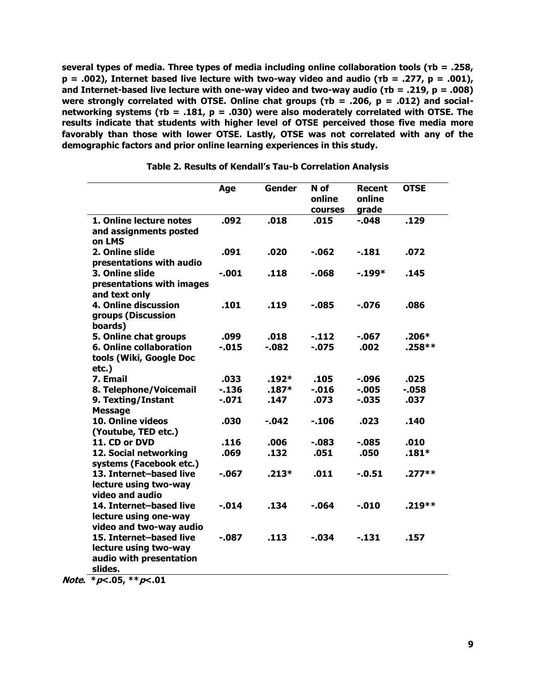**several types of media. Three types of media including online collaboration tools (τb = .258, p = .002), Internet based live lecture with two-way video and audio (τb = .277, p = .001), and Internet-based live lecture with one-way video and two-way audio (τb = .219, p = .008) were strongly correlated with OTSE. Online chat groups (τb = .206, p = .012) and socialnetworking systems (τb = .181, p = .030) were also moderately correlated with OTSE. The results indicate that students with higher level of OTSE perceived those five media more favorably than those with lower OTSE. Lastly, OTSE was not correlated with any of the demographic factors and prior online learning experiences in this study.**

|                                                                                        | Age        | <b>Gender</b> | N of<br>online<br>courses | Recent<br>online<br>grade | <b>OTSE</b> |
|----------------------------------------------------------------------------------------|------------|---------------|---------------------------|---------------------------|-------------|
| 1. Online lecture notes<br>and assignments posted<br>on LMS                            | .092       | .018          | .015                      | $-0.048$                  | .129        |
| 2. Online slide<br>presentations with audio                                            | .091       | .020          | $-062$                    | $-181$                    | .072        |
| 3. Online slide<br>presentations with images<br>and text only                          | $-.001$    | .118          | $-068$                    | $-199*$                   | .145        |
| 4. Online discussion<br>groups (Discussion<br>boards)                                  | <b>101</b> | .119          | $-085$                    | -.076                     | .086        |
| 5. Online chat groups                                                                  | .099       | .018          | $-112$                    | $-067$                    | $.206*$     |
| 6. Online collaboration<br>tools (Wiki, Google Doc<br>$etc.$ )                         | $-0.015$   | $-082$        | $-0.075$                  | .002                      | $.258**$    |
| 7. Email                                                                               | .033       | $.192*$       | .105                      | $-0.096$                  | .025        |
| 8. Telephone/Voicemail                                                                 | $-136$     | $.187*$       | $-0.016$                  | $-0.005$                  | $-0.58$     |
| 9. Texting/Instant<br><b>Message</b>                                                   | $-.071$    | .147          | .073                      | $-0.035$                  | .037        |
| 10. Online videos<br>(Youtube, TED etc.)                                               | .030       | $-042$        | $-106$                    | .023                      | .140        |
| 11. CD or DVD                                                                          | <b>116</b> | .006          | $-0.083$                  | $-0.085$                  | .010        |
| 12. Social networking<br>systems (Facebook etc.)                                       | .069       | .132          | .051                      | .050                      | $.181*$     |
| 13. Internet-based live<br>lecture using two-way<br>video and audio                    | -.067      | $.213*$       | .011                      | $-0.51$                   | $.277**$    |
| 14. Internet-based live<br>lecture using one-way<br>video and two-way audio            | $-0.014$   | .134          | $-064$                    | $-0.010$                  | .219**      |
| 15. Internet-based live<br>lecture using two-way<br>audio with presentation<br>slides. | $-0.087$   | .113          | $-0.034$                  | $-131$                    | .157        |

**Table 2. Results of Kendall's Tau-b Correlation Analysis**

**Note. \*p<.05, \*\*p<.01**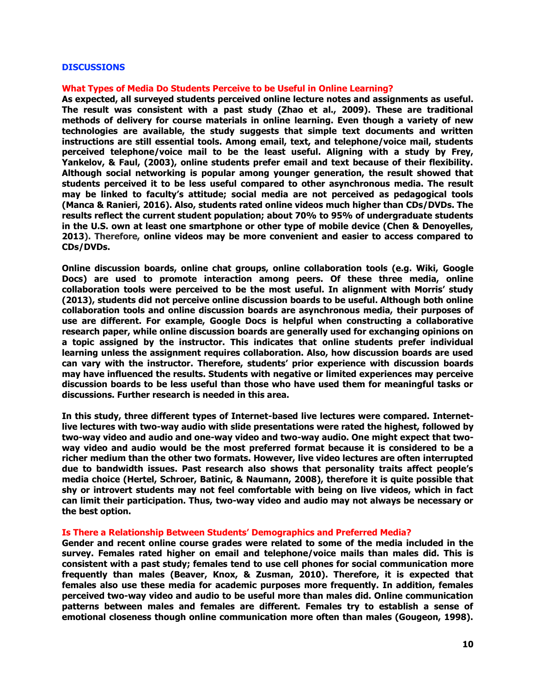#### **DISCUSSIONS**

#### **What Types of Media Do Students Perceive to be Useful in Online Learning?**

**As expected, all surveyed students perceived online lecture notes and assignments as useful. The result was consistent with a past study (Zhao et al., 2009). These are traditional methods of delivery for course materials in online learning. Even though a variety of new technologies are available, the study suggests that simple text documents and written instructions are still essential tools. Among email, text, and telephone/voice mail, students perceived telephone/voice mail to be the least useful. Aligning with a study by Frey, Yankelov, & Faul, (2003), online students prefer email and text because of their flexibility. Although social networking is popular among younger generation, the result showed that students perceived it to be less useful compared to other asynchronous media. The result may be linked to faculty's attitude; social media are not perceived as pedagogical tools (Manca & Ranieri, 2016). Also, students rated online videos much higher than CDs/DVDs. The results reflect the current student population; about 70% to 95% of undergraduate students in the U.S. own at least one smartphone or other type of mobile device (Chen & Denoyelles, 2013). Therefore, online videos may be more convenient and easier to access compared to CDs/DVDs.**

**Online discussion boards, online chat groups, online collaboration tools (e.g. Wiki, Google Docs) are used to promote interaction among peers. Of these three media, online collaboration tools were perceived to be the most useful. In alignment with Morris' study (2013), students did not perceive online discussion boards to be useful. Although both online collaboration tools and online discussion boards are asynchronous media, their purposes of use are different. For example, Google Docs is helpful when constructing a collaborative research paper, while online discussion boards are generally used for exchanging opinions on a topic assigned by the instructor. This indicates that online students prefer individual learning unless the assignment requires collaboration. Also, how discussion boards are used can vary with the instructor. Therefore, students' prior experience with discussion boards may have influenced the results. Students with negative or limited experiences may perceive discussion boards to be less useful than those who have used them for meaningful tasks or discussions. Further research is needed in this area.**

**In this study, three different types of Internet-based live lectures were compared. Internetlive lectures with two-way audio with slide presentations were rated the highest, followed by two-way video and audio and one-way video and two-way audio. One might expect that twoway video and audio would be the most preferred format because it is considered to be a richer medium than the other two formats. However, live video lectures are often interrupted due to bandwidth issues. Past research also shows that personality traits affect people's media choice (Hertel, Schroer, Batinic, & Naumann, 2008), therefore it is quite possible that shy or introvert students may not feel comfortable with being on live videos, which in fact can limit their participation. Thus, two-way video and audio may not always be necessary or the best option.** 

#### **Is There a Relationship Between Students' Demographics and Preferred Media?**

**Gender and recent online course grades were related to some of the media included in the survey. Females rated higher on email and telephone/voice mails than males did. This is consistent with a past study; females tend to use cell phones for social communication more frequently than males (Beaver, Knox, & Zusman, 2010). Therefore, it is expected that females also use these media for academic purposes more frequently. In addition, females perceived two-way video and audio to be useful more than males did. Online communication patterns between males and females are different. Females try to establish a sense of emotional closeness though online communication more often than males (Gougeon, 1998).**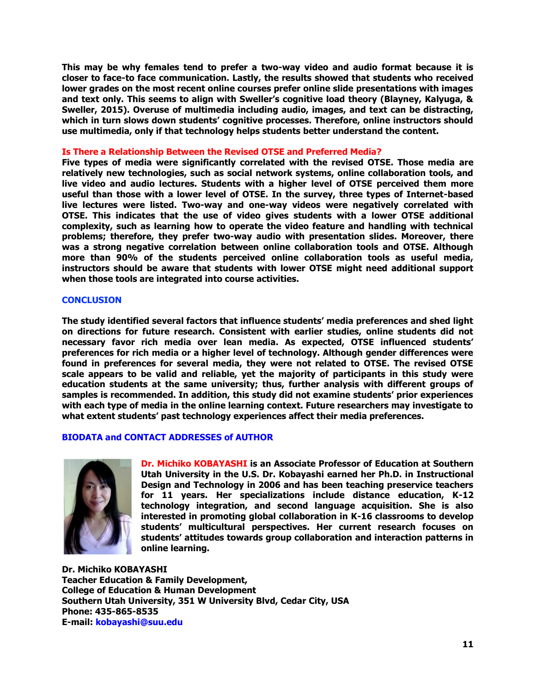**This may be why females tend to prefer a two-way video and audio format because it is closer to face-to face communication. Lastly, the results showed that students who received lower grades on the most recent online courses prefer online slide presentations with images and text only. This seems to align with Sweller's cognitive load theory (Blayney, Kalyuga, & Sweller, 2015). Overuse of multimedia including audio, images, and text can be distracting, which in turn slows down students' cognitive processes. Therefore, online instructors should use multimedia, only if that technology helps students better understand the content.**

#### **Is There a Relationship Between the Revised OTSE and Preferred Media?**

**Five types of media were significantly correlated with the revised OTSE. Those media are relatively new technologies, such as social network systems, online collaboration tools, and live video and audio lectures. Students with a higher level of OTSE perceived them more useful than those with a lower level of OTSE. In the survey, three types of Internet-based live lectures were listed. Two-way and one-way videos were negatively correlated with OTSE. This indicates that the use of video gives students with a lower OTSE additional complexity, such as learning how to operate the video feature and handling with technical problems; therefore, they prefer two-way audio with presentation slides. Moreover, there was a strong negative correlation between online collaboration tools and OTSE. Although more than 90% of the students perceived online collaboration tools as useful media, instructors should be aware that students with lower OTSE might need additional support when those tools are integrated into course activities.**

#### **CONCLUSION**

**The study identified several factors that influence students' media preferences and shed light on directions for future research. Consistent with earlier studies, online students did not necessary favor rich media over lean media. As expected, OTSE influenced students' preferences for rich media or a higher level of technology. Although gender differences were found in preferences for several media, they were not related to OTSE. The revised OTSE scale appears to be valid and reliable, yet the majority of participants in this study were education students at the same university; thus, further analysis with different groups of samples is recommended. In addition, this study did not examine students' prior experiences with each type of media in the online learning context. Future researchers may investigate to what extent students' past technology experiences affect their media preferences.**

## **BIODATA and CONTACT ADDRESSES of AUTHOR**



**Dr. Michiko KOBAYASHI is an Associate Professor of Education at Southern Utah University in the U.S. Dr. Kobayashi earned her Ph.D. in Instructional Design and Technology in 2006 and has been teaching preservice teachers for 11 years. Her specializations include distance education, K-12 technology integration, and second language acquisition. She is also interested in promoting global collaboration in K-16 classrooms to develop students' multicultural perspectives. Her current research focuses on students' attitudes towards group collaboration and interaction patterns in online learning.** 

**Dr. Michiko KOBAYASHI Teacher Education & Family Development, College of Education & Human Development Southern Utah University, 351 W University Blvd, Cedar City, USA Phone: 435-865-8535 E-mail: kobayashi@suu.edu**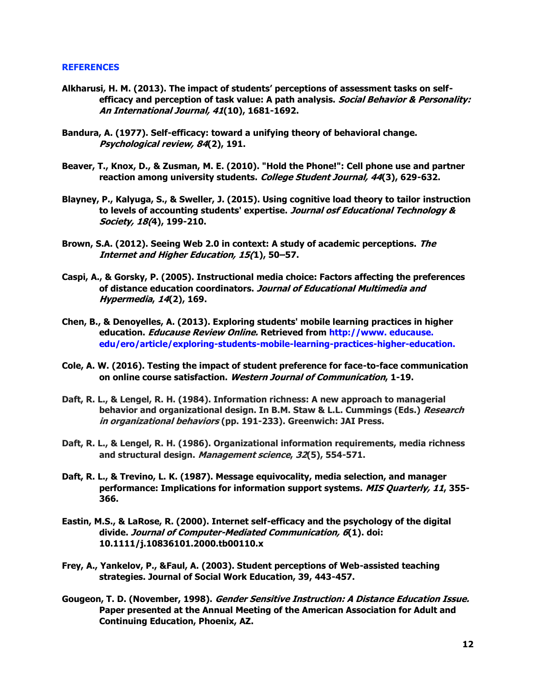#### **REFERENCES**

- **Alkharusi, H. M. (2013). The impact of students' perceptions of assessment tasks on selfefficacy and perception of task value: A path analysis. Social Behavior & Personality: An International Journal, 41(10), 1681-1692.**
- **Bandura, A. (1977). Self-efficacy: toward a unifying theory of behavioral change. Psychological review, 84(2), 191.**
- **Beaver, T., Knox, D., & Zusman, M. E. (2010). "Hold the Phone!": Cell phone use and partner reaction among university students. College Student Journal, 44(3), 629-632.**
- **Blayney, P., Kalyuga, S., & Sweller, J. (2015). Using cognitive load theory to tailor instruction to levels of accounting students' expertise. Journal osf Educational Technology & Society, 18(4), 199-210.**
- **Brown, S.A. (2012). Seeing Web 2.0 in context: A study of academic perceptions. The Internet and Higher Education, 15(1), 50–57.**
- **Caspi, A., & Gorsky, P. (2005). Instructional media choice: Factors affecting the preferences of distance education coordinators. Journal of Educational Multimedia and Hypermedia, 14(2), 169.**
- **Chen, B., & Denoyelles, A. (2013). Exploring students' mobile learning practices in higher education. Educause Review Online. Retrieved from http://www. educause. edu/ero/article/exploring-students-mobile-learning-practices-higher-education.**
- **Cole, A. W. (2016). Testing the impact of student preference for face-to-face communication on online course satisfaction. Western Journal of Communication, 1-19.**
- **Daft, R. L., & Lengel, R. H. (1984). Information richness: A new approach to managerial behavior and organizational design. In B.M. Staw & L.L. Cummings (Eds.) Research in organizational behaviors (pp. 191-233). Greenwich: JAI Press.**
- **Daft, R. L., & Lengel, R. H. (1986). Organizational information requirements, media richness and structural design. Management science, 32(5), 554-571.**
- **Daft, R. L., & Trevino, L. K. (1987). Message equivocality, media selection, and manager performance: Implications for information support systems. MIS Quarterly, 11, 355- 366.**
- **Eastin, M.S., & LaRose, R. (2000). Internet self-efficacy and the psychology of the digital divide. Journal of Computer-Mediated Communication, 6(1). doi: 10.1111/j.10836101.2000.tb00110.x**
- **Frey, A., Yankelov, P., &Faul, A. (2003). Student perceptions of Web-assisted teaching strategies. Journal of Social Work Education, 39, 443-457.**
- **Gougeon, T. D. (November, 1998). Gender Sensitive Instruction: A Distance Education Issue. Paper presented at the Annual Meeting of the American Association for Adult and Continuing Education, Phoenix, AZ.**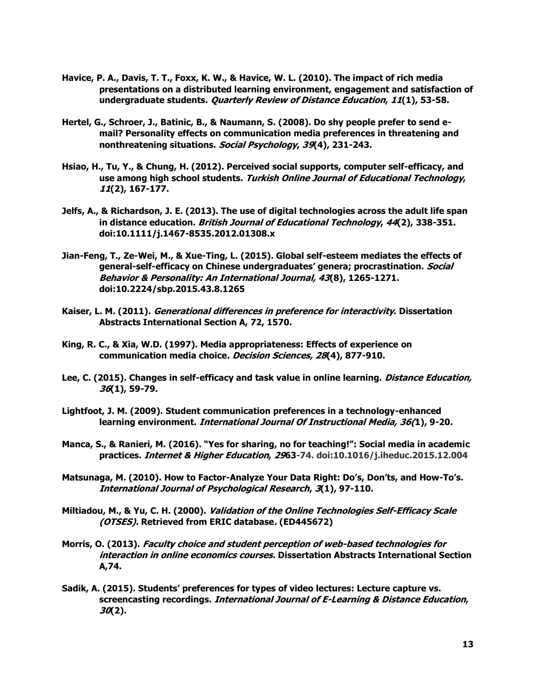- **Havice, P. A., Davis, T. T., Foxx, K. W., & Havice, W. L. (2010). The impact of rich media presentations on a distributed learning environment, engagement and satisfaction of undergraduate students. Quarterly Review of Distance Education, 11(1), 53-58.**
- **Hertel, G., Schroer, J., Batinic, B., & Naumann, S. (2008). Do shy people prefer to send email? Personality effects on communication media preferences in threatening and nonthreatening situations. Social Psychology, 39(4), 231-243.**
- **Hsiao, H., Tu, Y., & Chung, H. (2012). Perceived social supports, computer self-efficacy, and use among high school students. Turkish Online Journal of Educational Technology, 11(2), 167-177.**
- **Jelfs, A., & Richardson, J. E. (2013). The use of digital technologies across the adult life span in distance education. British Journal of Educational Technology, 44(2), 338-351. doi:10.1111/j.1467-8535.2012.01308.x**
- **Jian-Feng, T., Ze-Wei, M., & Xue-Ting, L. (2015). Global self-esteem mediates the effects of general-self-efficacy on Chinese undergraduates' genera; procrastination. Social Behavior & Personality: An International Journal, 43(8), 1265-1271. doi:10.2224/sbp.2015.43.8.1265**
- **Kaiser, L. M. (2011). Generational differences in preference for interactivity. Dissertation Abstracts International Section A, 72, 1570.**
- **King, R. C., & Xia, W.D. (1997). Media appropriateness: Effects of experience on communication media choice. Decision Sciences, 28(4), 877-910.**
- **Lee, C. (2015). Changes in self-efficacy and task value in online learning. Distance Education, 36(1), 59-79.**
- **Lightfoot, J. M. (2009). Student communication preferences in a technology-enhanced learning environment. International Journal Of Instructional Media, 36(1), 9-20.**
- **Manca, S., & Ranieri, M. (2016). "Yes for sharing, no for teaching!": Social media in academic practices. Internet & Higher Education, 2963-74. doi:10.1016/j.iheduc.2015.12.004**
- **Matsunaga, M. (2010). How to Factor-Analyze Your Data Right: Do's, Don'ts, and How-To's. International Journal of Psychological Research, 3(1), 97-110.**
- **Miltiadou, M., & Yu, C. H. (2000). Validation of the Online Technologies Self-Efficacy Scale (OTSES). Retrieved from ERIC database. (ED445672)**
- **Morris, O. (2013). Faculty choice and student perception of web-based technologies for interaction in online economics courses. Dissertation Abstracts International Section A,74.**
- **Sadik, A. (2015). Students' preferences for types of video lectures: Lecture capture vs. screencasting recordings. International Journal of E-Learning & Distance Education, 30(2).**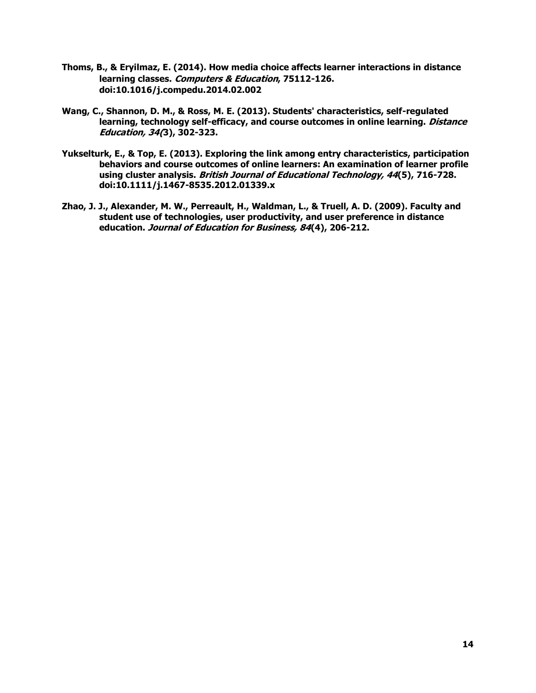- **Thoms, B., & Eryilmaz, E. (2014). How media choice affects learner interactions in distance learning classes. Computers & Education, 75112-126. doi:10.1016/j.compedu.2014.02.002**
- **Wang, C., Shannon, D. M., & Ross, M. E. (2013). Students' characteristics, self-regulated learning, technology self-efficacy, and course outcomes in online learning. Distance Education, 34(3), 302-323.**
- **Yukselturk, E., & Top, E. (2013). Exploring the link among entry characteristics, participation behaviors and course outcomes of online learners: An examination of learner profile using cluster analysis. British Journal of Educational Technology, 44(5), 716-728. doi:10.1111/j.1467-8535.2012.01339.x**
- **Zhao, J. J., Alexander, M. W., Perreault, H., Waldman, L., & Truell, A. D. (2009). Faculty and student use of technologies, user productivity, and user preference in distance education. Journal of Education for Business, 84(4), 206-212.**